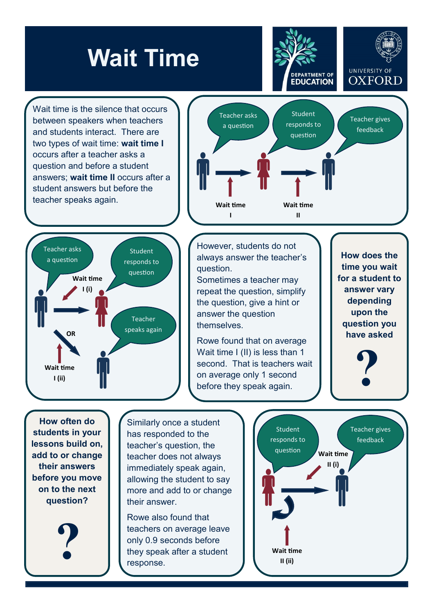## **Wait Time**

**DEPARTMENT OF EDUCATION** 

Wait time is the silence that occurs between speakers when teachers and students interact. There are two types of wait time: **wait time I**  occurs after a teacher asks a question and before a student answers; **wait time II** occurs after a student answers but before the teacher speaks again.





However, students do not always answer the teacher's question.

Sometimes a teacher may repeat the question, simplify the question, give a hint or answer the question **themselves** 

Rowe found that on average Wait time I (II) is less than 1 second. That is teachers wait on average only 1 second before they speak again.

**How does the time you wait for a student to answer vary depending upon the have asked**

UNIVERSITY OF

**OXFORD** 

**?**

**How often do students in your lessons build on, add to or change their answers before you move on to the next question?**

**?**

Similarly once a student has responded to the teacher's question, the teacher does not always immediately speak again, allowing the student to say more and add to or change their answer.

Rowe also found that teachers on average leave only 0.9 seconds before they speak after a student response.